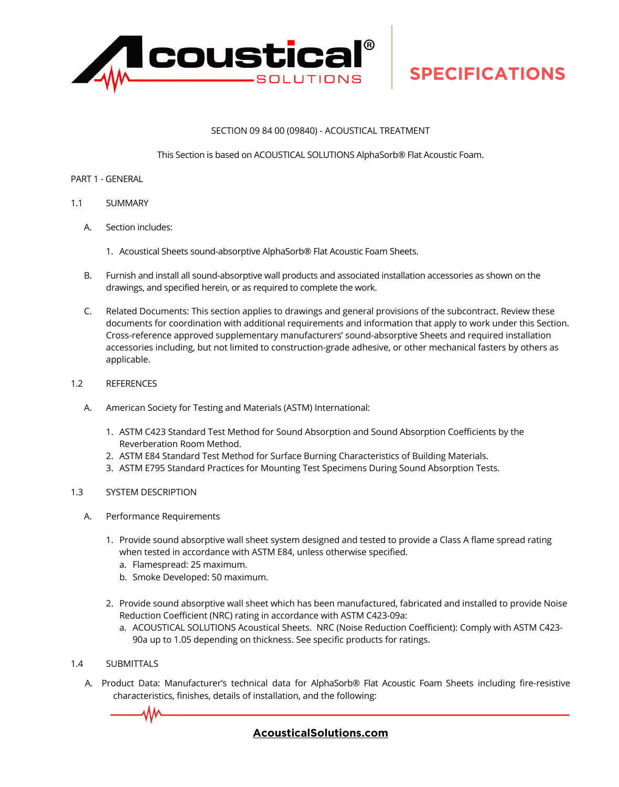

#### SECTION 09 84 00 (09840) - ACOUSTICAL TREATMENT

This Section is based on ACOUSTICAL SOLUTIONS AlphaSorb® Flat Acoustic Foam.

#### PART 1 - GENERAL

- 1.1 SUMMARY
	- A. Section includes:
		- 1. Acoustical Sheets sound-absorptive AlphaSorb® Flat Acoustic Foam Sheets.
	- B. Furnish and install all sound-absorptive wall products and associated installation accessories as shown on the drawings, and specified herein, or as required to complete the work.
	- C. Related Documents: This section applies to drawings and general provisions of the subcontract. Review these documents for coordination with additional requirements and information that apply to work under this Section. Cross-reference approved supplementary manufacturers' sound-absorptive Sheets and required installation accessories including, but not limited to construction-grade adhesive, or other mechanical fasters by others as applicable.
- 1.2 REFERENCES
	- A. American Society for Testing and Materials (ASTM) International:
		- 1. ASTM C423 Standard Test Method for Sound Absorption and Sound Absorption Coefficients by the Reverberation Room Method.
		- 2. ASTM E84 Standard Test Method for Surface Burning Characteristics of Building Materials.
		- 3. ASTM E795 Standard Practices for Mounting Test Specimens During Sound Absorption Tests.

#### 1.3 SYSTEM DESCRIPTION

- A. Performance Requirements
	- 1. Provide sound absorptive wall sheet system designed and tested to provide a Class A flame spread rating when tested in accordance with ASTM E84, unless otherwise specified.
		- a. Flamespread: 25 maximum.
		- b. Smoke Developed: 50 maximum.
	- 2. Provide sound absorptive wall sheet which has been manufactured, fabricated and installed to provide Noise Reduction Coefficient (NRC) rating in accordance with ASTM C423-09a:
		- a. ACOUSTICAL SOLUTIONS Acoustical Sheets. NRC (Noise Reduction Coefficient): Comply with ASTM C423- 90a up to 1.05 depending on thickness. See specific products for ratings.
- 1.4 SUBMITTALS
	- A. Product Data: Manufacturer's technical data for AlphaSorb® Flat Acoustic Foam Sheets including fire-resistive characteristics, finishes, details of installation, and the following:

### **[AcousticalSolutions.com](https://acousticalsolutions.com/)**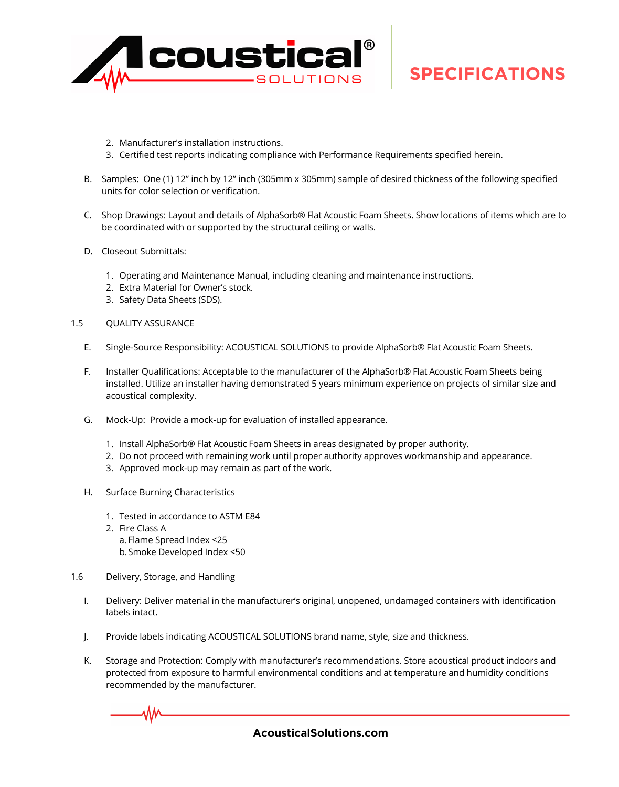

- 2. Manufacturer's installation instructions.
- 3. Certified test reports indicating compliance with Performance Requirements specified herein.
- B. Samples: One (1) 12" inch by 12" inch (305mm x 305mm) sample of desired thickness of the following specified units for color selection or verification.
- C. Shop Drawings: Layout and details of AlphaSorb® Flat Acoustic Foam Sheets. Show locations of items which are to be coordinated with or supported by the structural ceiling or walls.
- D. Closeout Submittals:
	- 1. Operating and Maintenance Manual, including cleaning and maintenance instructions.
	- 2. Extra Material for Owner's stock.
	- 3. Safety Data Sheets (SDS).
- 1.5 QUALITY ASSURANCE
	- E. Single-Source Responsibility: ACOUSTICAL SOLUTIONS to provide AlphaSorb® Flat Acoustic Foam Sheets.
	- F. Installer Qualifications: Acceptable to the manufacturer of the AlphaSorb® Flat Acoustic Foam Sheets being installed. Utilize an installer having demonstrated 5 years minimum experience on projects of similar size and acoustical complexity.
	- G. Mock-Up: Provide a mock-up for evaluation of installed appearance.
		- 1. Install AlphaSorb® Flat Acoustic Foam Sheets in areas designated by proper authority.
		- 2. Do not proceed with remaining work until proper authority approves workmanship and appearance.
		- 3. Approved mock-up may remain as part of the work.
	- H. Surface Burning Characteristics
		- 1. Tested in accordance to ASTM E84
		- 2. Fire Class A a. Flame Spread Index <25 b.Smoke Developed Index <50
- 1.6 Delivery, Storage, and Handling
	- I. Delivery: Deliver material in the manufacturer's original, unopened, undamaged containers with identification labels intact.
	- J. Provide labels indicating ACOUSTICAL SOLUTIONS brand name, style, size and thickness.
	- K. Storage and Protection: Comply with manufacturer's recommendations. Store acoustical product indoors and protected from exposure to harmful environmental conditions and at temperature and humidity conditions recommended by the manufacturer.

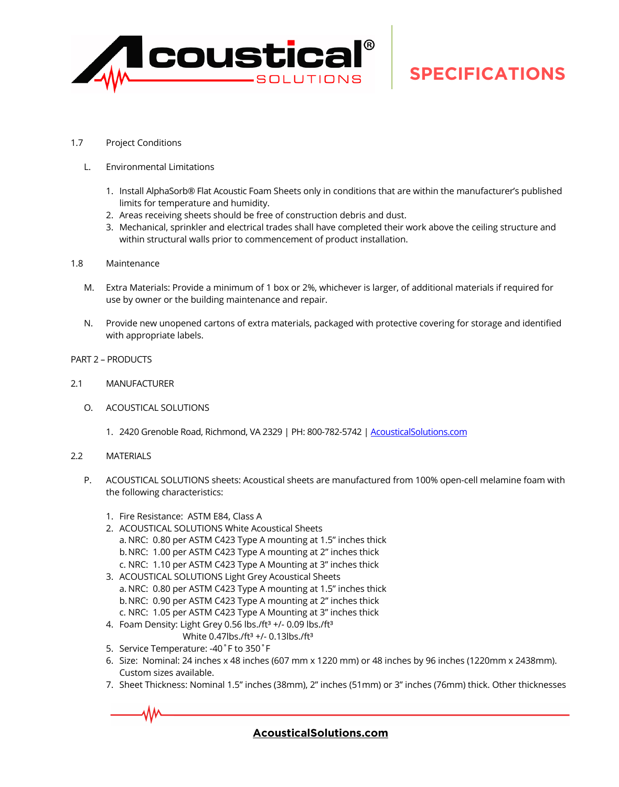

- 1.7 Project Conditions
	- L. Environmental Limitations
		- 1. Install AlphaSorb® Flat Acoustic Foam Sheets only in conditions that are within the manufacturer's published limits for temperature and humidity.
		- 2. Areas receiving sheets should be free of construction debris and dust.
		- 3. Mechanical, sprinkler and electrical trades shall have completed their work above the ceiling structure and within structural walls prior to commencement of product installation.
- 1.8 Maintenance
	- M. Extra Materials: Provide a minimum of 1 box or 2%, whichever is larger, of additional materials if required for use by owner or the building maintenance and repair.
	- N. Provide new unopened cartons of extra materials, packaged with protective covering for storage and identified with appropriate labels.
- PART 2 PRODUCTS
- 2.1 MANUFACTURER
	- O. ACOUSTICAL SOLUTIONS
		- 1. 2420 Grenoble Road, Richmond, VA 2329 | PH: 800-782-5742 | [AcousticalSolutions.com](https://acousticalsolution-my.sharepoint.com/personal/rlarkin_acousticalsolutions_com/Documents/Product/1-Techlite-Foam/1-AlphaSorb Composite Foam/Z-Collateral/AcousticalSolutions.com)

#### 2.2 MATERIALS

- P. ACOUSTICAL SOLUTIONS sheets: Acoustical sheets are manufactured from 100% open-cell melamine foam with the following characteristics:
	- 1. Fire Resistance: ASTM E84, Class A
	- 2. ACOUSTICAL SOLUTIONS White Acoustical Sheets a. NRC: 0.80 per ASTM C423 Type A mounting at 1.5" inches thick b.NRC: 1.00 per ASTM C423 Type A mounting at 2" inches thick c. NRC: 1.10 per ASTM C423 Type A Mounting at 3" inches thick
	- 3. ACOUSTICAL SOLUTIONS Light Grey Acoustical Sheets a. NRC: 0.80 per ASTM C423 Type A mounting at 1.5" inches thick b.NRC: 0.90 per ASTM C423 Type A mounting at 2" inches thick c. NRC: 1.05 per ASTM C423 Type A Mounting at 3" inches thick
	- 4. Foam Density: Light Grey 0.56 lbs./ft<sup>3</sup> +/- 0.09 lbs./ft<sup>3</sup> White  $0.47$ lbs./ft $3 +$ /-  $0.13$ lbs./ft $3$
	- 5. Service Temperature: -40˚F to 350˚F
	- 6. Size: Nominal: 24 inches x 48 inches (607 mm x 1220 mm) or 48 inches by 96 inches (1220mm x 2438mm). Custom sizes available.
	- 7. Sheet Thickness: Nominal 1.5" inches (38mm), 2" inches (51mm) or 3" inches (76mm) thick. Other thicknesses

### **[AcousticalSolutions.com](https://acousticalsolutions.com/)**